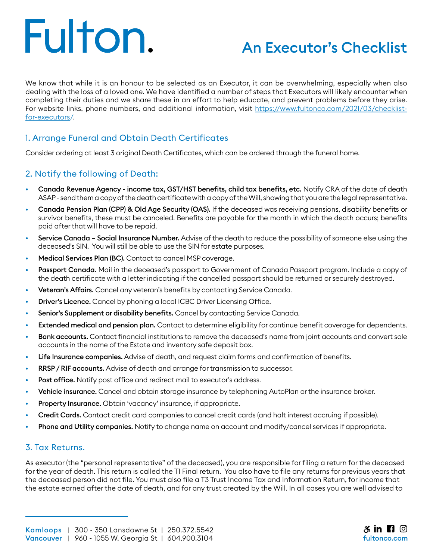# Fulton.

# An Executor's Checklist

We know that while it is an honour to be selected as an Executor, it can be overwhelming, especially when also dealing with the loss of a loved one. We have identified a number of steps that Executors will likely encounter when completing their duties and we share these in an effort to help educate, and prevent problems before they arise. For website links, phone numbers, and additional information, visit [https://www.fultonco.com/2021/03/checklist](https://www.fultonco.com/2021/03/checklist-for-executors)[for-executors](https://www.fultonco.com/2021/03/checklist-for-executors)/.

### 1. Arrange Funeral and Obtain Death Certificates

Consider ordering at least 3 original Death Certificates, which can be ordered through the funeral home.

### 2. Notify the following of Death:

- Canada Revenue Agency income tax, GST/HST benefits, child tax benefits, etc. Notify CRA of the date of death ASAP - send them a copy of the death certificate with a copy of the Will, showing that you are the legal representative.
- Canada Pension Plan (CPP) & Old Age Security (OAS). If the deceased was receiving pensions, disability benefits or survivor benefits, these must be canceled. Benefits are payable for the month in which the death occurs; benefits paid after that will have to be repaid.
- Service Canada Social Insurance Number. Advise of the death to reduce the possibility of someone else using the deceased's SIN. You will still be able to use the SIN for estate purposes.
- Medical Services Plan (BC). Contact to cancel MSP coverage.
- Passport Canada. Mail in the deceased's passport to Government of Canada Passport program. Include a copy of the death certificate with a letter indicating if the cancelled passport should be returned or securely destroyed.
- Veteran's Affairs. Cancel any veteran's benefits by contacting Service Canada.
- Driver's Licence. Cancel by phoning a local ICBC Driver Licensing Office.
- Senior's Supplement or disability benefits. Cancel by contacting Service Canada.
- Extended medical and pension plan. Contact to determine eligibility for continue benefit coverage for dependents.
- Bank accounts. Contact financial institutions to remove the deceased's name from joint accounts and convert sole accounts in the name of the Estate and inventory safe deposit box.
- Life Insurance companies. Advise of death, and request claim forms and confirmation of benefits.
- **RRSP / RIF accounts.** Advise of death and arrange for transmission to successor.
- Post office. Notify post office and redirect mail to executor's address.
- Vehicle insurance. Cancel and obtain storage insurance by telephoning AutoPlan or the insurance broker.
- Property Insurance. Obtain 'vacancy' insurance, if appropriate.
- Credit Cards. Contact credit card companies to cancel credit cards (and halt interest accruing if possible).
- Phone and Utility companies. Notify to change name on account and modify/cancel services if appropriate.

#### 3. Tax Returns.

As executor (the "personal representative" of the deceased), you are responsible for filing a return for the deceased for the year of death. This return is called the T1 Final return. You also have to file any returns for previous years that the deceased person did not file. You must also file a T3 Trust Income Tax and Information Return, for income that the estate earned after the date of death, and for any trust created by the Will. In all cases you are well advised to